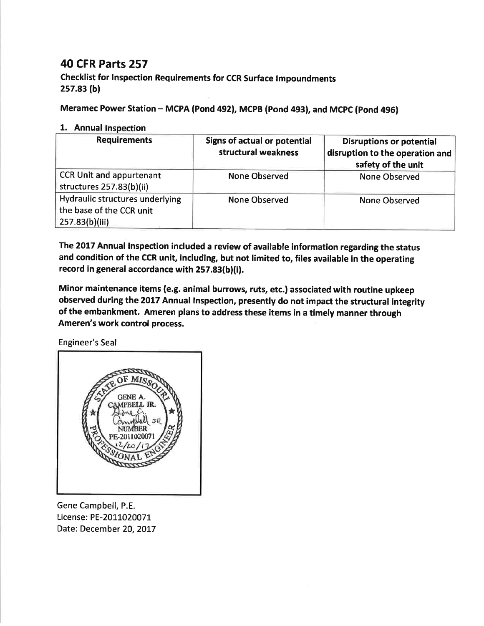## 40 CFR Parts 257

checklist for lnspection Requirements for ccR surface tmpoundments 2s7.83 (b)

Meramec Power Station - MCPA (Pond 492), MCPB (Pond 493), and MCPC (Pond 496)

## 1. Annual Inspection

| <b>Requirements</b>                                                           | Signs of actual or potential<br>structural weakness | <b>Disruptions or potential</b><br>disruption to the operation and<br>safety of the unit |
|-------------------------------------------------------------------------------|-----------------------------------------------------|------------------------------------------------------------------------------------------|
| <b>CCR Unit and appurtenant</b><br>structures 257.83(b)(ii)                   | <b>None Observed</b>                                | <b>None Observed</b>                                                                     |
| Hydraulic structures underlying<br>the base of the CCR unit<br>257.83(b)(iii) | None Observed                                       | <b>None Observed</b>                                                                     |

The 2017 Annual Inspection included a review of available information regarding the status and condition of the CCR unit, including, but not limited to, files available in the operating record in general accordance with 257.83(b)(i).

Minor maintenance items (e.g. animal burrows, ruts, etc.) associated with routine upkeep observed during the 2017 Annual lnspection, presently do not impact the structural integrity of the embankment. Ameren plans to address these items in a timely manner through Ameren's work control process.

Engineer's Seal



Gene Campbell, P.E. License: PE-2011020071 Date: December 20, 2017